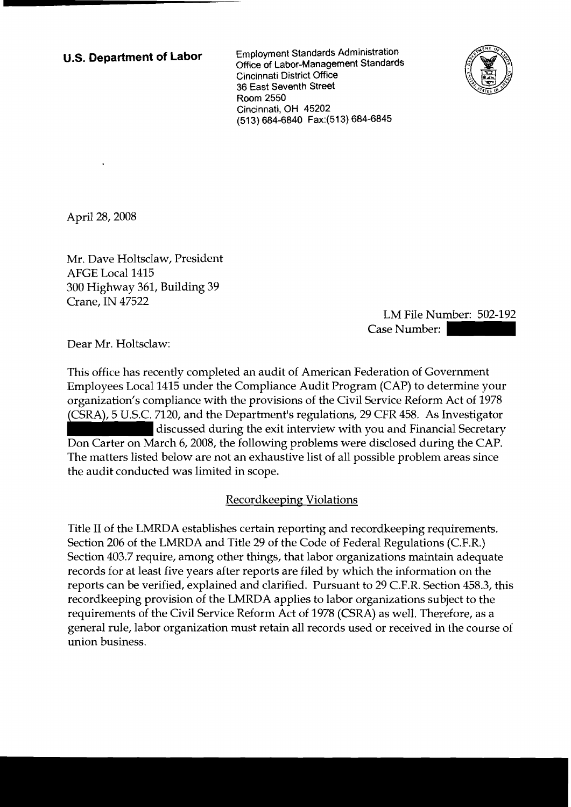**U.S. Department of Labor** Employment Standards Administration Office of Labor-Management Standards Cincinnati District Office 36 East Seventh Street Room 2550 Cincinnati, OH 45202 (513) 684-6840 Fax:(513) 684-6845



April 28,2008

Mr. Dave Holtsclaw, President AFGE Local 1415 300 Highway 361, Building 39 Crane, IN 47522

LM File Number: 502-192 Case Number:

Dear Mr. Holtsclaw:

This office has recently completed an audit of American Federation of Government Employees Local 1415 under the Compliance Audit Program (CAP) to determine your organization's compliance with the provisions of the Civil Service Reform Act of 1978 (CSRA), 5 U.S.C. 7120, and the Department's regulations, 29 CFR 458. As Investigator discussed during the exit interview with you and Financial Secretary Don Carter on March 6, 2008, the following problems were disclosed during the CAP. The matters listed below are not an exhaustive list of all possible problem areas since the audit conducted was limited in scope.

## Recordkeeping Violations

Title I1 of the LMRDA establishes certain reporting and recordkeeping requirements. Section 206 of the LMRDA and Title 29 of the Code of Federal Regulations (C.F.R.) Section 403.7 require, among other things, that labor organizations maintain adequate records for at least five years after reports are filed by which the information on the reports can be verified, explained and clarified. Pursuant to 29 C.F.R. Section 458.3, this recordkeeping provision of the LMRDA applies to labor organizations subject to the requirements of the Civil Service Reform Act of 1978 (CSRA) as well. Therefore, as a general rule, labor organization must retain all records used or received in the course of union business.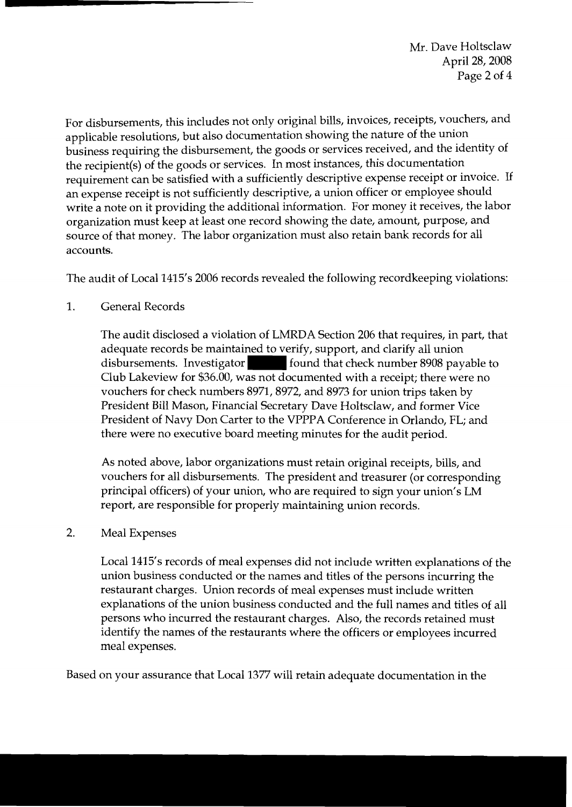Mr. Dave Holtsclaw April 28,2008 Page 2 of 4

For disbursements, this includes not only original bills, invoices, receipts, vouchers, and applicable resolutions, but also documentation showing the nature of the union business requiring the disbursement, the goods or services received, and the identity of the recipient(s) of the goods or services. In most instances, this documentation requirement can be satisfied with a sufficiently descriptive expense receipt or invoice. If an expense receipt is not sufficiently descriptive, a union officer or employee should write a note on it providing the additional information. For money it receives, the labor organization must keep at least one record showing the date, amount, purpose, and source of that money. The labor organization must also retain bank records for all accounts.

The audit of Local 1415's 2006 records revealed the following recordkeeping violations:

1. General Records

The audit disclosed a violation of LMRDA Section 206 that requires, in part, that adequate records be maintained to verify, support, and clarify all union disbursements. Investigator found that check number 8908 payable to Club Lakeview for \$36.00, was not documented with a receipt; there were no vouchers for check numbers 8971,8972, and 8973 for union trips taken by President Bill Mason, Financial Secretary Dave Holtsclaw, and former Vice President of Navy Don Carter to the VPPPA Conference in Orlando, FL; and there were no executive board meeting minutes for the audit period.

As noted above, labor organizations must retain original receipts, bills, and vouchers for all disbursements. The president and treasurer (or corresponding principal officers) of your union, who are required to sign your union's LM report, are responsible for properly maintaining union records.

## 2. Meal Expenses

Local 1415's records of meal expenses did not include written explanations of the union business conducted or the names and titles of the persons incurring the restaurant charges. Union records of meal expenses must include written explanations of the union business conducted and the full names and titles of all persons who incurred the restaurant charges. Also, the records retained must identify the names of the restaurants where the officers or employees incurred meal expenses.

Based on your assurance that Local 1377 will retain adequate documentation in the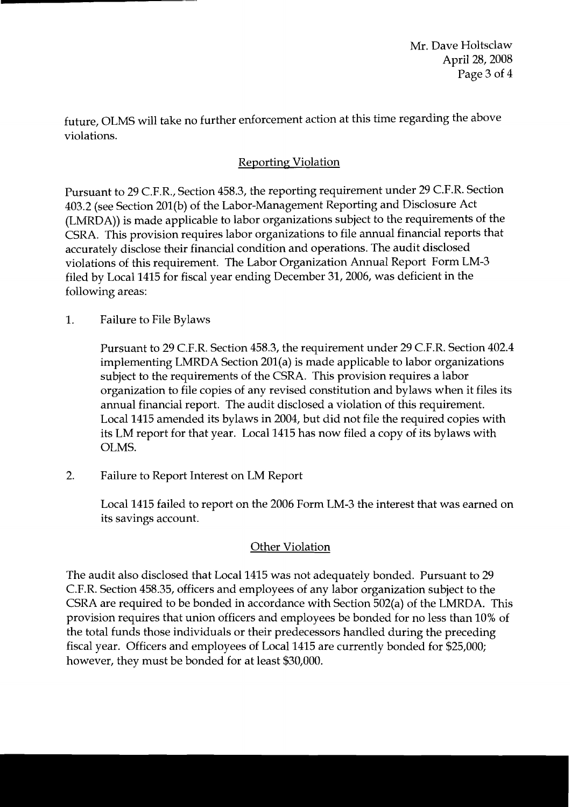Mr. Dave Holtsclaw April 28,2008 Page 3 of 4

future, OLMS will take no further enforcement action at this time regarding the above violations.

# **Reporting Violation**

Pursuant to 29 C.F.R., Section 458.3, the reporting requirement under 29 C.F.R. Section 403.2 (see Section 201(b) of the Labor-Management Reporting and Disclosure Act (LMRDA)) is made applicable to labor organizations subject to the requirements of the CSRA. This provision requires labor organizations to file annual financial reports that accurately disclose their financial condition and operations. The audit disclosed violations of this requirement. The Labor Organization Annual Report Form LM-3 filed by Local 1415 for fiscal year ending December 31,2006, was deficient in the following areas:

1. Failure to File Bylaws

Pursuant to 29 C.F.R. Section 458.3, the requirement under 29 C.F.R. Section 402.4 implementing LMRDA Section 201(a) is made applicable to labor organizations subject to the requirements of the CSRA. This provision requires a labor organization to file copies of any revised constitution and bylaws when it files its annual financial report. The audit disclosed a violation of this requirement. Local 1415 amended its bylaws in 2004, but did not file the required copies with its LM report for that year. Local 1415 has now filed a copy of its bylaws with OLMS.

2. Failure to Report Interest on LM Report

Local 1415 failed to report on the 2006 Form LM-3 the interest that was earned on its savings account.

## Other Violation

The audit also disclosed that Local 1415 was not adequately bonded. Pursuant to 29 C.F.R. Section 458.35, officers and employees of any labor organization subject to the CSRA are required to be bonded in accordance with Section 502(a) of the LMRDA. This provision requires that union officers and employees be bonded for no less than 10% of the total funds those individuals or their predecessors handled during the preceding fiscal year. Officers and employees of Local 1415 are currently bonded for \$25,000; however, they must be bonded for at least \$30,000.